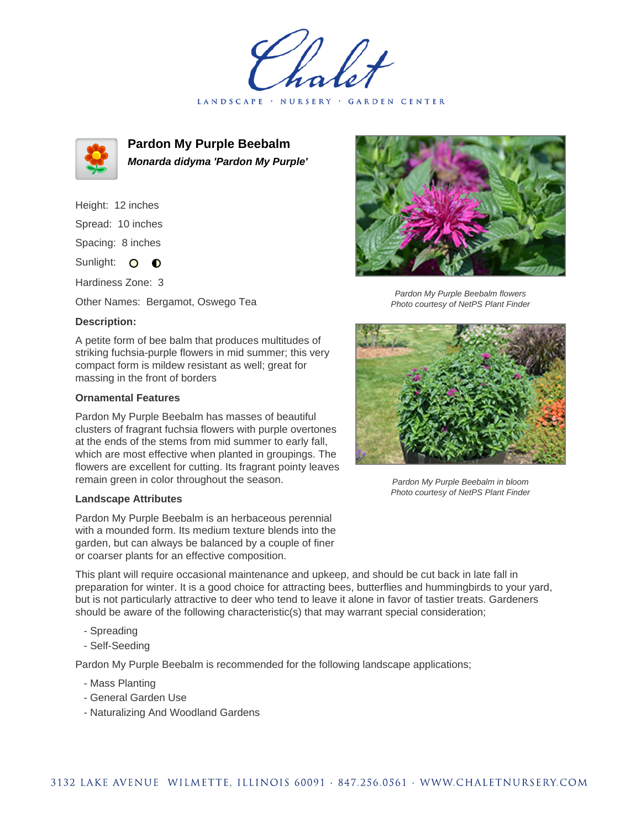LANDSCAPE · NURSERY · GARDEN CENTER



**Pardon My Purple Beebalm Monarda didyma 'Pardon My Purple'**

Height: 12 inches Spread: 10 inches Spacing: 8 inches

Sunlight: O **O** 

Hardiness Zone: 3

Other Names: Bergamot, Oswego Tea

## **Description:**

A petite form of bee balm that produces multitudes of striking fuchsia-purple flowers in mid summer; this very compact form is mildew resistant as well; great for massing in the front of borders

## **Ornamental Features**

Pardon My Purple Beebalm has masses of beautiful clusters of fragrant fuchsia flowers with purple overtones at the ends of the stems from mid summer to early fall, which are most effective when planted in groupings. The flowers are excellent for cutting. Its fragrant pointy leaves remain green in color throughout the season.

## **Landscape Attributes**

Pardon My Purple Beebalm is an herbaceous perennial with a mounded form. Its medium texture blends into the garden, but can always be balanced by a couple of finer or coarser plants for an effective composition.



Pardon My Purple Beebalm flowers Photo courtesy of NetPS Plant Finder



Pardon My Purple Beebalm in bloom Photo courtesy of NetPS Plant Finder

This plant will require occasional maintenance and upkeep, and should be cut back in late fall in preparation for winter. It is a good choice for attracting bees, butterflies and hummingbirds to your yard, but is not particularly attractive to deer who tend to leave it alone in favor of tastier treats. Gardeners should be aware of the following characteristic(s) that may warrant special consideration;

- Spreading
- Self-Seeding

Pardon My Purple Beebalm is recommended for the following landscape applications;

- Mass Planting
- General Garden Use
- Naturalizing And Woodland Gardens